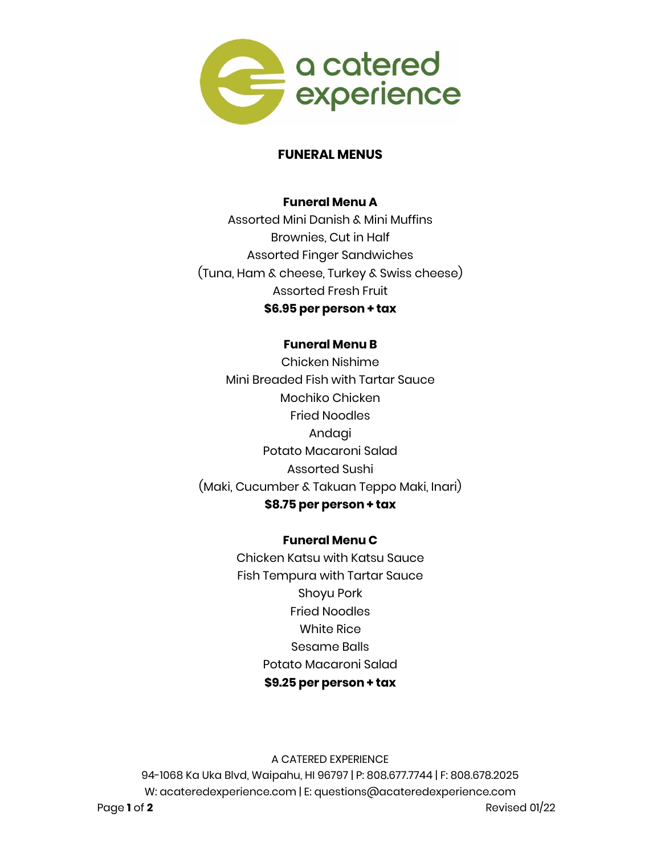

#### **FUNERAL MENUS**

#### **Funeral Menu A**

Assorted Mini Danish & Mini Muffins Brownies, Cut in Half Assorted Finger Sandwiches (Tuna, Ham & cheese, Turkey & Swiss cheese) Assorted Fresh Fruit **\$6.95 per person + tax**

# **Funeral Menu B**

Chicken Nishime Mini Breaded Fish with Tartar Sauce Mochiko Chicken Fried Noodles Andagi Potato Macaroni Salad Assorted Sushi (Maki, Cucumber & Takuan Teppo Maki, Inari) **\$8.75 per person + tax**

#### **Funeral Menu C**

Chicken Katsu with Katsu Sauce Fish Tempura with Tartar Sauce Shoyu Pork Fried Noodles White Rice Sesame Balls Potato Macaroni Salad **\$9.25 per person + tax**

A CATERED EXPERIENCE 94-1068 Ka Uka Blvd, Waipahu, HI 96797 | P: 808.677.7744 | F: 808.678.2025 W: acateredexperience.com | E: questions@acateredexperience.com

Page **1** of **2** Revised 01/22